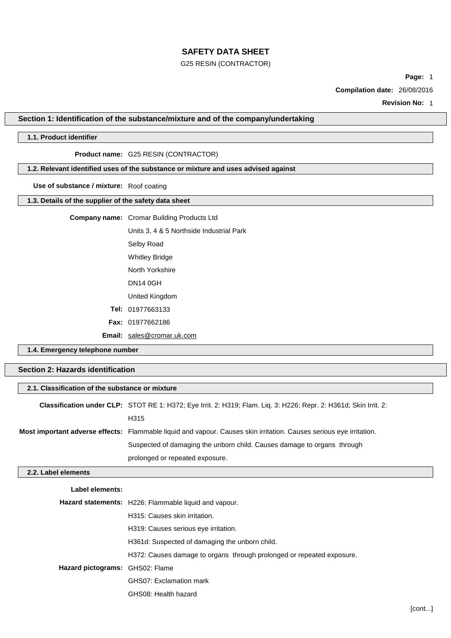### G25 RESIN (CONTRACTOR)

**Page:** 1

**Compilation date:** 26/08/2016

**Revision No:** 1

## **Section 1: Identification of the substance/mixture and of the company/undertaking**

# **1.1. Product identifier**

# **Product name:** G25 RESIN (CONTRACTOR)

## **1.2. Relevant identified uses of the substance or mixture and uses advised against**

**Use of substance / mixture:** Roof coating

## **1.3. Details of the supplier of the safety data sheet**

## **Company name:** Cromar Building Products Ltd

Units 3, 4 & 5 Northside Industrial Park Selby Road Whitley Bridge North Yorkshire DN14 0GH United Kingdom **Tel:** 01977663133 **Fax:** 01977662186

**Email:** [sales@cromar.uk.com](mailto:sales@cromar.uk.com)

GHS08: Health hazard

**1.4. Emergency telephone number**

# **Section 2: Hazards identification**

| 2.1. Classification of the substance or mixture |                                                                                                                     |  |
|-------------------------------------------------|---------------------------------------------------------------------------------------------------------------------|--|
|                                                 | Classification under CLP: STOT RE 1: H372; Eye Irrit. 2: H319; Flam. Liq. 3: H226; Repr. 2: H361d; Skin Irrit. 2:   |  |
|                                                 | H315                                                                                                                |  |
|                                                 | Most important adverse effects: Flammable liquid and vapour. Causes skin irritation. Causes serious eye irritation. |  |
|                                                 | Suspected of damaging the unborn child. Causes damage to organs through                                             |  |
|                                                 | prolonged or repeated exposure.                                                                                     |  |
| 2.2. Label elements                             |                                                                                                                     |  |
| Label elements:                                 |                                                                                                                     |  |
|                                                 | <b>Hazard statements:</b> H226: Flammable liquid and vapour.                                                        |  |
|                                                 | H315: Causes skin irritation.                                                                                       |  |
|                                                 | H319: Causes serious eye irritation.                                                                                |  |
|                                                 | H361d: Suspected of damaging the unborn child.                                                                      |  |
|                                                 | H372: Causes damage to organs through prolonged or repeated exposure.                                               |  |
| Hazard pictograms: GHS02: Flame                 |                                                                                                                     |  |
|                                                 | GHS07: Exclamation mark                                                                                             |  |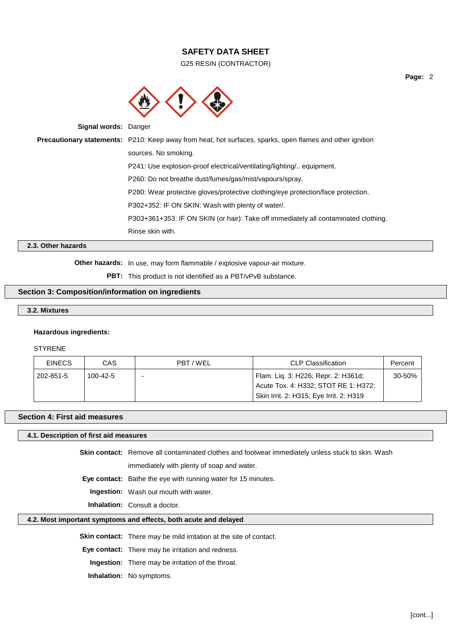G25 RESIN (CONTRACTOR)



**Signal words:** Danger

**Precautionary statements:** P210: Keep away from heat, hot surfaces, sparks, open flames and other ignition sources. No smoking. P241: Use explosion-proof electrical/ventilating/lighting/.. equipment. P260: Do not breathe dust/fumes/gas/mist/vapours/spray. P280: Wear protective gloves/protective clothing/eye protection/face protection. P302+352: IF ON SKIN: Wash with plenty of water/. P303+361+353: IF ON SKIN (or hair): Take off immediately all contaminated clothing. Rinse skin with.

# **2.3. Other hazards**

**Other hazards:** In use, may form flammable / explosive vapour-air mixture.

**PBT:** This product is not identified as a PBT/vPvB substance.

## **Section 3: Composition/information on ingredients**

### **3.2. Mixtures**

#### **Hazardous ingredients:**

STYRENE

| <b>EINECS</b> | CAS      | PBT/WEL | CLP Classification                                                                                                     | Percent |
|---------------|----------|---------|------------------------------------------------------------------------------------------------------------------------|---------|
| 202-851-5     | 100-42-5 |         | Flam. Lig. 3: H226; Repr. 2: H361d;<br>Acute Tox. 4: H332; STOT RE 1: H372;<br>Skin Irrit. 2: H315; Eye Irrit. 2: H319 | 30-50%  |

#### **Section 4: First aid measures**

#### **4.1. Description of first aid measures**

**Skin contact:** Remove all contaminated clothes and footwear immediately unless stuck to skin. Wash immediately with plenty of soap and water.

**Eye contact:** Bathe the eye with running water for 15 minutes.

**Ingestion:** Wash out mouth with water.

**Inhalation:** Consult a doctor.

### **4.2. Most important symptoms and effects, both acute and delayed**

**Skin contact:** There may be mild irritation at the site of contact.

**Eye contact:** There may be irritation and redness.

**Ingestion:** There may be irritation of the throat.

**Inhalation:** No symptoms.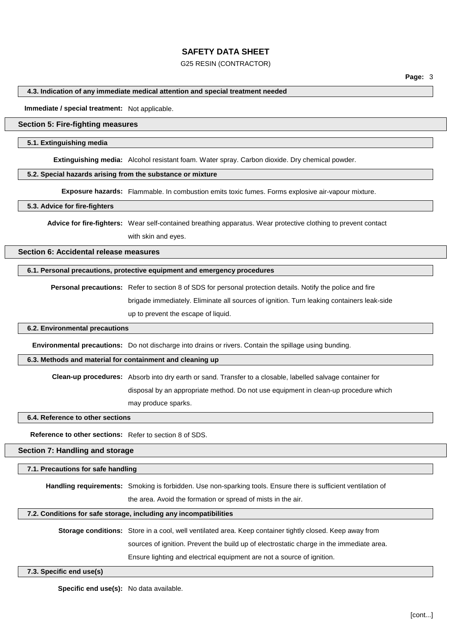## G25 RESIN (CONTRACTOR)

## **4.3. Indication of any immediate medical attention and special treatment needed**

**Immediate / special treatment:** Not applicable.

# **Section 5: Fire-fighting measures**

## **5.1. Extinguishing media**

**Extinguishing media:** Alcohol resistant foam. Water spray. Carbon dioxide. Dry chemical powder.

# **5.2. Special hazards arising from the substance or mixture**

**Exposure hazards:** Flammable. In combustion emits toxic fumes. Forms explosive air-vapour mixture.

## **5.3. Advice for fire-fighters**

**Advice for fire-fighters:** Wear self-contained breathing apparatus. Wear protective clothing to prevent contact with skin and eyes.

**Section 6: Accidental release measures**

# **6.1. Personal precautions, protective equipment and emergency procedures**

**Personal precautions:** Refer to section 8 of SDS for personal protection details. Notify the police and fire brigade immediately. Eliminate all sources of ignition. Turn leaking containers leak-side up to prevent the escape of liquid.

## **6.2. Environmental precautions**

**Environmental precautions:** Do not discharge into drains or rivers. Contain the spillage using bunding.

# **6.3. Methods and material for containment and cleaning up**

**Clean-up procedures:** Absorb into dry earth or sand. Transfer to a closable, labelled salvage container for

disposal by an appropriate method. Do not use equipment in clean-up procedure which

may produce sparks.

# **6.4. Reference to other sections**

**Reference to other sections:** Refer to section 8 of SDS.

## **Section 7: Handling and storage**

## **7.1. Precautions for safe handling**

**Handling requirements:** Smoking is forbidden. Use non-sparking tools. Ensure there is sufficient ventilation of

the area. Avoid the formation or spread of mists in the air.

## **7.2. Conditions for safe storage, including any incompatibilities**

## **Storage conditions:** Store in a cool, well ventilated area. Keep container tightly closed. Keep away from

sources of ignition. Prevent the build up of electrostatic charge in the immediate area.

Ensure lighting and electrical equipment are not a source of ignition.

#### **7.3. Specific end use(s)**

**Specific end use(s):** No data available.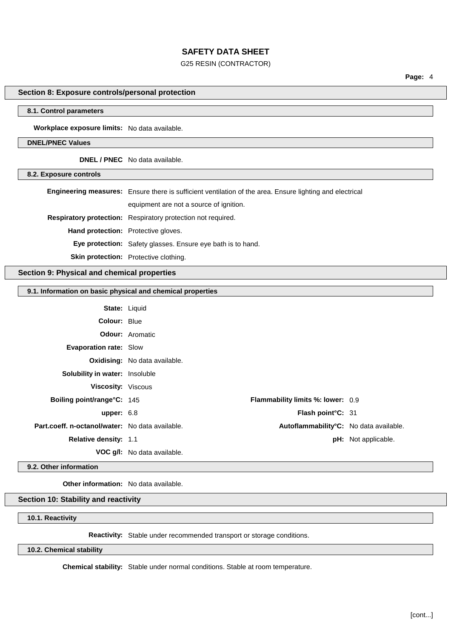## G25 RESIN (CONTRACTOR)

**Page:** 4

# **Section 8: Exposure controls/personal protection**

## **8.1. Control parameters**

**Workplace exposure limits:** No data available.

#### **DNEL/PNEC Values**

**DNEL / PNEC** No data available.

**8.2. Exposure controls**

|                                            | <b>Engineering measures:</b> Ensure there is sufficient ventilation of the area. Ensure lighting and electrical |
|--------------------------------------------|-----------------------------------------------------------------------------------------------------------------|
|                                            | equipment are not a source of ignition.                                                                         |
|                                            | <b>Respiratory protection:</b> Respiratory protection not required.                                             |
| <b>Hand protection:</b> Protective gloves. |                                                                                                                 |
|                                            | <b>Eye protection:</b> Safety glasses. Ensure eye bath is to hand.                                              |
|                                            | <b>Skin protection:</b> Protective clothing.                                                                    |

## **Section 9: Physical and chemical properties**

#### **9.1. Information on basic physical and chemical properties**

|                                                 | <b>State: Liquid</b>                     |                            |
|-------------------------------------------------|------------------------------------------|----------------------------|
| <b>Colour: Blue</b>                             |                                          |                            |
|                                                 | <b>Odour:</b> Aromatic                   |                            |
| <b>Evaporation rate: Slow</b>                   |                                          |                            |
|                                                 | <b>Oxidising:</b> No data available.     |                            |
| Solubility in water: Insoluble                  |                                          |                            |
| Viscosity: Viscous                              |                                          |                            |
| Boiling point/range°C: 145                      | <b>Flammability limits %: lower: 0.9</b> |                            |
| upper: $6.8$                                    | Flash point°C: 31                        |                            |
| Part.coeff. n-octanol/water: No data available. | Autoflammability°C: No data available.   |                            |
| <b>Relative density: 1.1</b>                    |                                          | <b>pH:</b> Not applicable. |
|                                                 | <b>VOC g/l:</b> No data available.       |                            |

**9.2. Other information**

**Other information:** No data available.

## **Section 10: Stability and reactivity**

**10.1. Reactivity**

**Reactivity:** Stable under recommended transport or storage conditions.

## **10.2. Chemical stability**

**Chemical stability:** Stable under normal conditions. Stable at room temperature.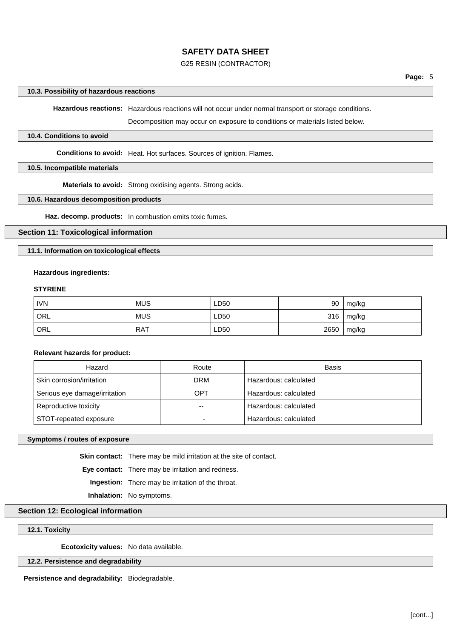## G25 RESIN (CONTRACTOR)

#### **10.3. Possibility of hazardous reactions**

**Hazardous reactions:** Hazardous reactions will not occur under normal transport or storage conditions.

Decomposition may occur on exposure to conditions or materials listed below.

#### **10.4. Conditions to avoid**

**Conditions to avoid:** Heat. Hot surfaces. Sources of ignition. Flames.

#### **10.5. Incompatible materials**

**Materials to avoid:** Strong oxidising agents. Strong acids.

#### **10.6. Hazardous decomposition products**

**Haz. decomp. products:** In combustion emits toxic fumes.

## **Section 11: Toxicological information**

**11.1. Information on toxicological effects**

#### **Hazardous ingredients:**

### **STYRENE**

| <b>IVN</b> | <b>MUS</b> | LD50 | 90   | mg/kg |
|------------|------------|------|------|-------|
| ORL        | <b>MUS</b> | LD50 | 316  | mg/kg |
| ORL        | <b>RAT</b> | LD50 | 2650 | mg/kg |

**Relevant hazards for product:**

| Hazard                        | Route      | Basis                 |
|-------------------------------|------------|-----------------------|
| Skin corrosion/irritation     | <b>DRM</b> | Hazardous: calculated |
| Serious eye damage/irritation | OPT        | Hazardous: calculated |
| Reproductive toxicity         | $- -$      | Hazardous: calculated |
| STOT-repeated exposure        |            | Hazardous: calculated |

#### **Symptoms / routes of exposure**

**Skin contact:** There may be mild irritation at the site of contact.

**Eye contact:** There may be irritation and redness.

**Ingestion:** There may be irritation of the throat.

**Inhalation:** No symptoms.

# **Section 12: Ecological information**

**12.1. Toxicity**

**Ecotoxicity values:** No data available.

### **12.2. Persistence and degradability**

**Persistence and degradability:** Biodegradable.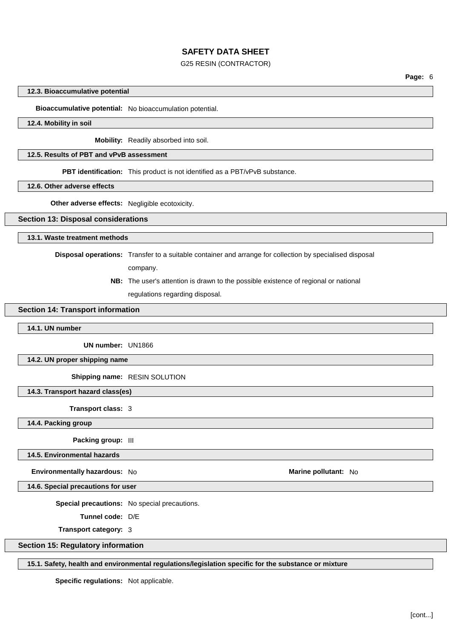## G25 RESIN (CONTRACTOR)

**Page:** 6

#### **12.3. Bioaccumulative potential**

# **Bioaccumulative potential:** No bioaccumulation potential.

#### **12.4. Mobility in soil**

**Mobility:** Readily absorbed into soil.

#### **12.5. Results of PBT and vPvB assessment**

**PBT identification:** This product is not identified as a PBT/vPvB substance.

#### **12.6. Other adverse effects**

**Other adverse effects:** Negligible ecotoxicity.

## **Section 13: Disposal considerations**

**13.1. Waste treatment methods**

**Disposal operations:** Transfer to a suitable container and arrange for collection by specialised disposal

company.

**NB:** The user's attention is drawn to the possible existence of regional or national regulations regarding disposal.

## **Section 14: Transport information**

**14.1. UN number**

**UN number:** UN1866

**14.2. UN proper shipping name**

**Shipping name:** RESIN SOLUTION

**14.3. Transport hazard class(es)**

**Transport class:** 3

**14.4. Packing group**

**Packing group:** III

**14.5. Environmental hazards**

**Environmentally hazardous:** No **Marine Marine Marine Marine Marine Marine Marine Marine Marine Marine** 

**14.6. Special precautions for user**

**Special precautions:** No special precautions.

**Tunnel code:** D/E

**Transport category:** 3

## **Section 15: Regulatory information**

## **15.1. Safety, health and environmental regulations/legislation specific for the substance or mixture**

**Specific regulations:** Not applicable.